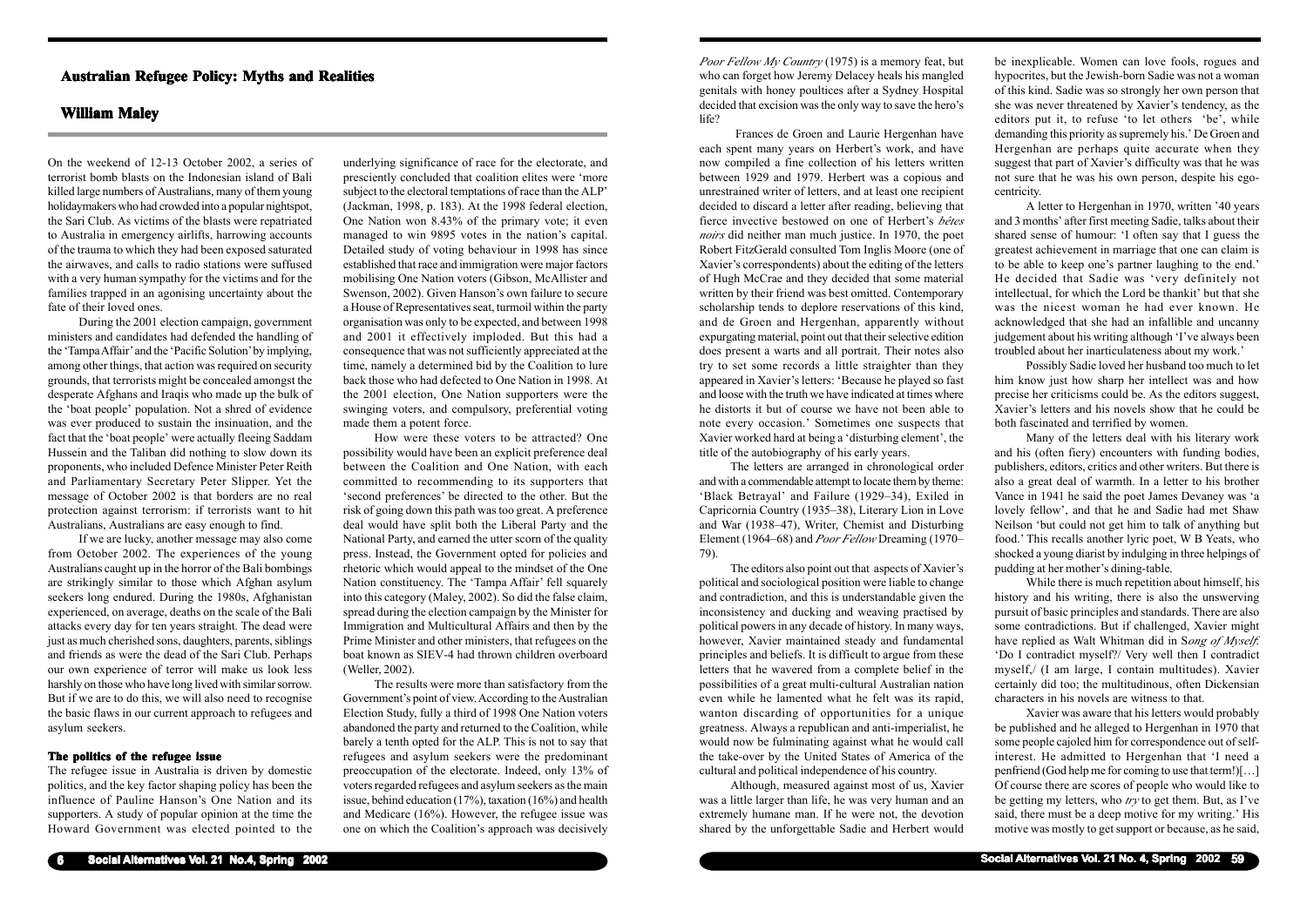**6 Social Alternatives Vol. 21 No.4, Spring 2002**

On the weekend of 12-13 October 2002, a series of terrorist bomb blasts on the Indonesian island of Bali killed large numbers of Australians, many of them young holidaymakers who had crowded into a popular nightspot, the Sari Club. As victims of the blasts were repatriated to Australia in emergency airlifts, harrowing accounts of the trauma to which they had been exposed saturated the airwaves, and calls to radio stations were suffused with a very human sympathy for the victims and for the families trapped in an agonising uncertainty about the fate of their loved ones.

During the 2001 election campaign, government ministers and candidates had defended the handling of the 'Tampa Affair' and the 'Pacific Solution' by implying, among other things, that action was required on security grounds, that terrorists might be concealed amongst the desperate Afghans and Iraqis who made up the bulk of the 'boat people' population. Not a shred of evidence was ever produced to sustain the insinuation, and the fact that the 'boat people' were actually fleeing Saddam Hussein and the Taliban did nothing to slow down its proponents, who included Defence Minister Peter Reith and Parliamentary Secretary Peter Slipper. Yet the message of October 2002 is that borders are no real protection against terrorism: if terrorists want to hit Australians, Australians are easy enough to find.

If we are lucky, another message may also come from October 2002. The experiences of the young Australians caught up in the horror of the Bali bombings are strikingly similar to those which Afghan asylum seekers long endured. During the 1980s, Afghanistan experienced, on average, deaths on the scale of the Bali attacks every day for ten years straight. The dead were just as much cherished sons, daughters, parents, siblings and friends as were the dead of the Sari Club. Perhaps our own experience of terror will make us look less harshly on those who have long lived with similar sorrow. But if we are to do this, we will also need to recognise the basic flaws in our current approach to refugees and asylum seekers.

## **The politics of the refugee issue**

The refugee issue in Australia is driven by domestic politics, and the key factor shaping policy has been the influence of Pauline Hanson's One Nation and its supporters. A study of popular opinion at the time the Howard Government was elected pointed to the

underlying significance of race for the electorate, and presciently concluded that coalition elites were 'more subject to the electoral temptations of race than the ALP' (Jackman, 1998, p. 183). At the 1998 federal election, One Nation won 8.43% of the primary vote; it even managed to win 9895 votes in the nation's capital. Detailed study of voting behaviour in 1998 has since established that race and immigration were major factors mobilising One Nation voters (Gibson, McAllister and Swenson, 2002). Given Hanson's own failure to secure a House of Representatives seat, turmoil within the party organisation was only to be expected, and between 1998 and 2001 it effectively imploded. But this had a consequence that was not sufficiently appreciated at the time, namely a determined bid by the Coalition to lure back those who had defected to One Nation in 1998. At the 2001 election, One Nation supporters were the swinging voters, and compulsory, preferential voting made them a potent force.

How were these voters to be attracted? One possibility would have been an explicit preference deal between the Coalition and One Nation, with each committed to recommending to its supporters that 'second preferences' be directed to the other. But the risk of going down this path was too great. A preference deal would have split both the Liberal Party and the National Party, and earned the utter scorn of the quality press. Instead, the Government opted for policies and rhetoric which would appeal to the mindset of the One Nation constituency. The 'Tampa Affair' fell squarely into this category (Maley, 2002). So did the false claim, spread during the election campaign by the Minister for Immigration and Multicultural Affairs and then by the Prime Minister and other ministers, that refugees on the boat known as SIEV-4 had thrown children overboard (Weller, 2002).

The results were more than satisfactory from the Government's point of view. According to the Australian Election Study, fully a third of 1998 One Nation voters abandoned the party and returned to the Coalition, while barely a tenth opted for the ALP. This is not to say that refugees and asylum seekers were the predominant preoccupation of the electorate. Indeed, only 13% of voters regarded refugees and asylum seekers as the main issue, behind education (17%), taxation (16%) and health and Medicare (16%). However, the refugee issue was one on which the Coalition's approach was decisively

# **Australian Refugee Policy: Myths and Realities Australian Policy: and Realities**

# **William Maley**

**Social Alternatives Vol. 21 No. 4, Spring 2002 59**

*Poor Fellow My Country* (1975) is a memory feat, but who can forget how Jeremy Delacey heals his mangled genitals with honey poultices after a Sydney Hospital decided that excision was the only way to save the hero's life?

Frances de Groen and Laurie Hergenhan have each spent many years on Herbert's work, and have now compiled a fine collection of his letters written between 1929 and 1979. Herbert was a copious and unrestrained writer of letters, and at least one recipient decided to discard a letter after reading, believing that fierce invective bestowed on one of Herbert's *bêtes noirs* did neither man much justice. In 1970, the poet Robert FitzGerald consulted Tom Inglis Moore (one of Xavier's correspondents) about the editing of the letters of Hugh McCrae and they decided that some material written by their friend was best omitted. Contemporary scholarship tends to deplore reservations of this kind, and de Groen and Hergenhan, apparently without expurgating material, point out that their selective edition does present a warts and all portrait. Their notes also try to set some records a little straighter than they appeared in Xavier's letters: 'Because he played so fast and loose with the truth we have indicated at times where he distorts it but of course we have not been able to note every occasion.' Sometimes one suspects that Xavier worked hard at being a 'disturbing element', the title of the autobiography of his early years.

The letters are arranged in chronological order and with a commendable attempt to locate them by theme: 'Black Betrayal' and Failure (1929–34), Exiled in Capricornia Country (1935–38), Literary Lion in Love and War (1938–47), Writer, Chemist and Disturbing Element (1964–68) and *Poor Fellow* Dreaming (1970– 79).

The editors also point out that aspects of Xavier's political and sociological position were liable to change and contradiction, and this is understandable given the inconsistency and ducking and weaving practised by political powers in any decade of history. In many ways, however, Xavier maintained steady and fundamental principles and beliefs. It is difficult to argue from these letters that he wavered from a complete belief in the possibilities of a great multi-cultural Australian nation even while he lamented what he felt was its rapid, wanton discarding of opportunities for a unique greatness. Always a republican and anti-imperialist, he would now be fulminating against what he would call the take-over by the United States of America of the cultural and political independence of his country.

Although, measured against most of us, Xavier was a little larger than life, he was very human and an extremely humane man. If he were not, the devotion shared by the unforgettable Sadie and Herbert would be inexplicable. Women can love fools, rogues and hypocrites, but the Jewish-born Sadie was not a woman of this kind. Sadie was so strongly her own person that she was never threatened by Xavier's tendency, as the editors put it, to refuse 'to let others 'be', while demanding this priority as supremely his.' De Groen and Hergenhan are perhaps quite accurate when they suggest that part of Xavier's difficulty was that he was not sure that he was his own person, despite his egocentricity.

A letter to Hergenhan in 1970, written '40 years and 3 months' after first meeting Sadie, talks about their shared sense of humour: 'I often say that I guess the greatest achievement in marriage that one can claim is to be able to keep one's partner laughing to the end.' He decided that Sadie was 'very definitely not intellectual, for which the Lord be thankit' but that she was the nicest woman he had ever known. He acknowledged that she had an infallible and uncanny judgement about his writing although 'I've always been troubled about her inarticulateness about my work.'

Possibly Sadie loved her husband too much to let him know just how sharp her intellect was and how precise her criticisms could be. As the editors suggest, Xavier's letters and his novels show that he could be both fascinated and terrified by women.

Many of the letters deal with his literary work and his (often fiery) encounters with funding bodies, publishers, editors, critics and other writers. But there is also a great deal of warmth. In a letter to his brother Vance in 1941 he said the poet James Devaney was 'a lovely fellow', and that he and Sadie had met Shaw Neilson 'but could not get him to talk of anything but food.' This recalls another lyric poet, W B Yeats, who shocked a young diarist by indulging in three helpings of pudding at her mother's dining-table.

While there is much repetition about himself, his history and his writing, there is also the unswerving pursuit of basic principles and standards. There are also some contradictions. But if challenged, Xavier might have replied as Walt Whitman did in S*ong of Myself*: 'Do I contradict myself?/ Very well then I contradict myself,/ (I am large, I contain multitudes). Xavier certainly did too; the multitudinous, often Dickensian characters in his novels are witness to that.

Xavier was aware that his letters would probably be published and he alleged to Hergenhan in 1970 that some people cajoled him for correspondence out of selfinterest. He admitted to Hergenhan that 'I need a penfriend (God help me for coming to use that term!)[…] Of course there are scores of people who would like to be getting my letters, who *try* to get them. But, as I've said, there must be a deep motive for my writing.' His motive was mostly to get support or because, as he said,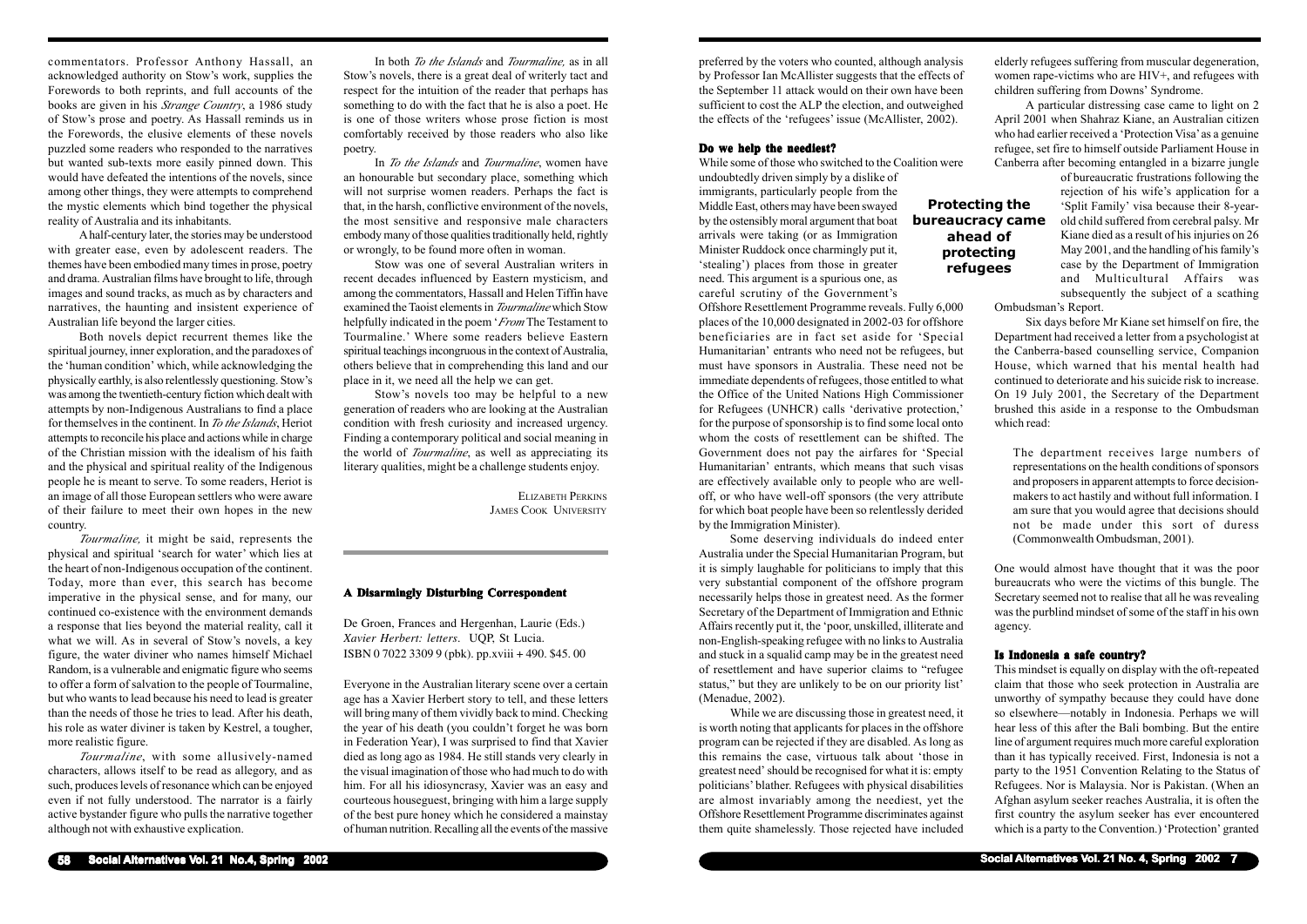**Social Alternatives Vol. 21 No. 4, Spring 2002 7**

preferred by the voters who counted, although analysis by Professor Ian McAllister suggests that the effects of the September 11 attack would on their own have been sufficient to cost the ALP the election, and outweighed the effects of the 'refugees' issue (McAllister, 2002).

#### **Do we help the neediest?**

While some of those who switched to the Coalition were undoubtedly driven simply by a dislike of immigrants, particularly people from the Middle East, others may have been swayed by the ostensibly moral argument that boat arrivals were taking (or as Immigration Minister Ruddock once charmingly put it, 'stealing') places from those in greater need. This argument is a spurious one, as careful scrutiny of the Government's

Offshore Resettlement Programme reveals. Fully 6,000 places of the 10,000 designated in 2002-03 for offshore beneficiaries are in fact set aside for 'Special Humanitarian' entrants who need not be refugees, but must have sponsors in Australia. These need not be immediate dependents of refugees, those entitled to what the Office of the United Nations High Commissioner for Refugees (UNHCR) calls 'derivative protection,' for the purpose of sponsorship is to find some local onto whom the costs of resettlement can be shifted. The Government does not pay the airfares for 'Special Humanitarian' entrants, which means that such visas are effectively available only to people who are welloff, or who have well-off sponsors (the very attribute for which boat people have been so relentlessly derided by the Immigration Minister).

Some deserving individuals do indeed enter Australia under the Special Humanitarian Program, but it is simply laughable for politicians to imply that this very substantial component of the offshore program necessarily helps those in greatest need. As the former Secretary of the Department of Immigration and Ethnic Affairs recently put it, the 'poor, unskilled, illiterate and non-English-speaking refugee with no links to Australia and stuck in a squalid camp may be in the greatest need of resettlement and have superior claims to "refugee status," but they are unlikely to be on our priority list' (Menadue, 2002).

While we are discussing those in greatest need, it is worth noting that applicants for places in the offshore program can be rejected if they are disabled. As long as this remains the case, virtuous talk about 'those in greatest need' should be recognised for what it is: empty politicians' blather. Refugees with physical disabilities are almost invariably among the neediest, yet the Offshore Resettlement Programme discriminates against them quite shamelessly. Those rejected have included

elderly refugees suffering from muscular degeneration, women rape-victims who are HIV+, and refugees with children suffering from Downs' Syndrome.

A particular distressing case came to light on 2 April 2001 when Shahraz Kiane, an Australian citizen who had earlier received a 'Protection Visa' as a genuine refugee, set fire to himself outside Parliament House in Canberra after becoming entangled in a bizarre jungle

> of bureaucratic frustrations following the rejection of his wife's application for a 'Split Family' visa because their 8-yearold child suffered from cerebral palsy. Mr Kiane died as a result of his injuries on 26 May 2001, and the handling of his family's case by the Department of Immigration and Multicultural Affairs was subsequently the subject of a scathing

Ombudsman's Report.

Six days before Mr Kiane set himself on fire, the Department had received a letter from a psychologist at the Canberra-based counselling service, Companion House, which warned that his mental health had continued to deteriorate and his suicide risk to increase. On 19 July 2001, the Secretary of the Department brushed this aside in a response to the Ombudsman which read:

The department receives large numbers of representations on the health conditions of sponsors and proposers in apparent attempts to force decisionmakers to act hastily and without full information. I am sure that you would agree that decisions should not be made under this sort of duress (Commonwealth Ombudsman, 2001).

One would almost have thought that it was the poor bureaucrats who were the victims of this bungle. The Secretary seemed not to realise that all he was revealing was the purblind mindset of some of the staff in his own agency.

# **Is Indonesia a safe country?**

This mindset is equally on display with the oft-repeated claim that those who seek protection in Australia are unworthy of sympathy because they could have done so elsewhere—notably in Indonesia. Perhaps we will hear less of this after the Bali bombing. But the entire line of argument requires much more careful exploration than it has typically received. First, Indonesia is not a party to the 1951 Convention Relating to the Status of Refugees. Nor is Malaysia. Nor is Pakistan. (When an Afghan asylum seeker reaches Australia, it is often the first country the asylum seeker has ever encountered which is a party to the Convention.) 'Protection' granted

**Protecting the bureaucracy came**

**ahead of protecting refugees**

commentators. Professor Anthony Hassall, an acknowledged authority on Stow's work, supplies the Forewords to both reprints, and full accounts of the books are given in his *Strange Country*, a 1986 study of Stow's prose and poetry. As Hassall reminds us in the Forewords, the elusive elements of these novels puzzled some readers who responded to the narratives but wanted sub-texts more easily pinned down. This would have defeated the intentions of the novels, since among other things, they were attempts to comprehend the mystic elements which bind together the physical reality of Australia and its inhabitants.

A half-century later, the stories may be understood with greater ease, even by adolescent readers. The themes have been embodied many times in prose, poetry and drama. Australian films have brought to life, through images and sound tracks, as much as by characters and narratives, the haunting and insistent experience of Australian life beyond the larger cities.

Both novels depict recurrent themes like the spiritual journey, inner exploration, and the paradoxes of the 'human condition' which, while acknowledging the physically earthly, is also relentlessly questioning. Stow's was among the twentieth-century fiction which dealt with attempts by non-Indigenous Australians to find a place for themselves in the continent. In *To the Islands*, Heriot attempts to reconcile his place and actions while in charge of the Christian mission with the idealism of his faith and the physical and spiritual reality of the Indigenous people he is meant to serve. To some readers, Heriot is an image of all those European settlers who were aware of their failure to meet their own hopes in the new country.

*Tourmaline,* it might be said, represents the physical and spiritual 'search for water' which lies at the heart of non-Indigenous occupation of the continent. Today, more than ever, this search has become imperative in the physical sense, and for many, our continued co-existence with the environment demands a response that lies beyond the material reality, call it what we will. As in several of Stow's novels, a key figure, the water diviner who names himself Michael Random, is a vulnerable and enigmatic figure who seems to offer a form of salvation to the people of Tourmaline, but who wants to lead because his need to lead is greater than the needs of those he tries to lead. After his death, his role as water diviner is taken by Kestrel, a tougher, more realistic figure.

*Tourmaline*, with some allusively-named characters, allows itself to be read as allegory, and as such, produces levels of resonance which can be enjoyed even if not fully understood. The narrator is a fairly active bystander figure who pulls the narrative together although not with exhaustive explication.

In both *To the Islands* and *Tourmaline,* as in all Stow's novels, there is a great deal of writerly tact and respect for the intuition of the reader that perhaps has something to do with the fact that he is also a poet. He is one of those writers whose prose fiction is most comfortably received by those readers who also like poetry.

In *To the Islands* and *Tourmaline*, women have an honourable but secondary place, something which will not surprise women readers. Perhaps the fact is that, in the harsh, conflictive environment of the novels, the most sensitive and responsive male characters embody many of those qualities traditionally held, rightly or wrongly, to be found more often in woman.

Stow was one of several Australian writers in recent decades influenced by Eastern mysticism, and among the commentators, Hassall and Helen Tiffin have examined the Taoist elements in *Tourmaline* which Stow helpfully indicated in the poem '*From* The Testament to Tourmaline.' Where some readers believe Eastern spiritual teachings incongruous in the context of Australia, others believe that in comprehending this land and our place in it, we need all the help we can get.

Stow's novels too may be helpful to a new generation of readers who are looking at the Australian condition with fresh curiosity and increased urgency. Finding a contemporary political and social meaning in the world of *Tourmaline*, as well as appreciating its literary qualities, might be a challenge students enjoy.

> ELIZABETH PERKINS JAMES COOK UNIVERSITY

## **A Disarmingly Disturbing Correspondent A**

De Groen, Frances and Hergenhan, Laurie (Eds.) *Xavier Herbert: letters*. UQP, St Lucia. ISBN 0 7022 3309 9 (pbk). pp.xviii + 490. \$45. 00

Everyone in the Australian literary scene over a certain age has a Xavier Herbert story to tell, and these letters will bring many of them vividly back to mind. Checking the year of his death (you couldn't forget he was born in Federation Year), I was surprised to find that Xavier died as long ago as 1984. He still stands very clearly in the visual imagination of those who had much to do with him. For all his idiosyncrasy, Xavier was an easy and courteous houseguest, bringing with him a large supply of the best pure honey which he considered a mainstay of human nutrition. Recalling all the events of the massive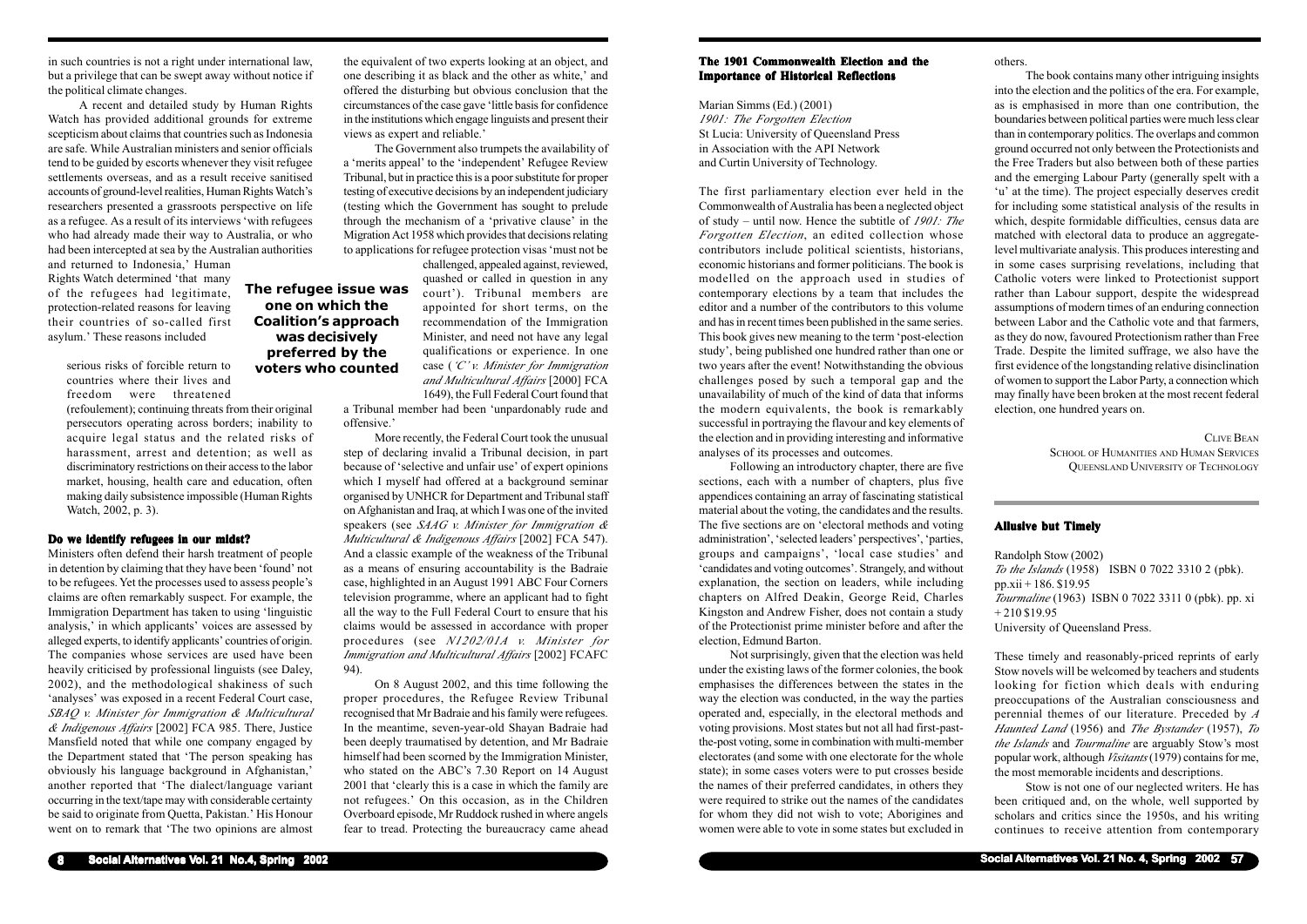in such countries is not a right under international law, but a privilege that can be swept away without notice if the political climate changes.

A recent and detailed study by Human Rights Watch has provided additional grounds for extreme scepticism about claims that countries such as Indonesia are safe. While Australian ministers and senior officials tend to be guided by escorts whenever they visit refugee settlements overseas, and as a result receive sanitised accounts of ground-level realities, Human Rights Watch's researchers presented a grassroots perspective on life as a refugee. As a result of its interviews 'with refugees who had already made their way to Australia, or who had been intercepted at sea by the Australian authorities

and returned to Indonesia,' Human Rights Watch determined 'that many of the refugees had legitimate, protection-related reasons for leaving their countries of so-called first asylum.' These reasons included

> serious risks of forcible return to countries where their lives and freedom were threatened

(refoulement); continuing threats from their original persecutors operating across borders; inability to acquire legal status and the related risks of harassment, arrest and detention; as well as discriminatory restrictions on their access to the labor market, housing, health care and education, often making daily subsistence impossible (Human Rights Watch, 2002, p. 3).

# **Do we identify refugees in our midst?**

Ministers often defend their harsh treatment of people in detention by claiming that they have been 'found' not to be refugees. Yet the processes used to assess people's claims are often remarkably suspect. For example, the Immigration Department has taken to using 'linguistic analysis,' in which applicants' voices are assessed by alleged experts, to identify applicants' countries of origin. The companies whose services are used have been heavily criticised by professional linguists (see Daley, 2002), and the methodological shakiness of such 'analyses' was exposed in a recent Federal Court case, *SBAQ v. Minister for Immigration & Multicultural & Indigenous Affairs* [2002] FCA 985. There, Justice Mansfield noted that while one company engaged by the Department stated that 'The person speaking has obviously his language background in Afghanistan,' another reported that 'The dialect/language variant occurring in the text/tape may with considerable certainty be said to originate from Quetta, Pakistan.' His Honour went on to remark that 'The two opinions are almost

the equivalent of two experts looking at an object, and one describing it as black and the other as white,' and offered the disturbing but obvious conclusion that the circumstances of the case gave 'little basis for confidence in the institutions which engage linguists and present their views as expert and reliable.'

The Government also trumpets the availability of <sup>a</sup>'merits appeal' to the 'independent' Refugee Review Tribunal, but in practice this is a poor substitute for proper testing of executive decisions by an independent judiciary (testing which the Government has sought to prelude through the mechanism of a 'privative clause' in the Migration Act 1958 which provides that decisions relating to applications for refugee protection visas 'must not be

challenged, appealed against, reviewed, quashed or called in question in any court'). Tribunal members are appointed for short terms, on the recommendation of the Immigration Minister, and need not have any legal qualifications or experience. In one case (*'C' v. Minister for Immigration and Multicultural Affairs* [2000] FCA 1649), the Full Federal Court found that

a Tribunal member had been 'unpardonably rude and offensive.'

More recently, the Federal Court took the unusual step of declaring invalid a Tribunal decision, in part because of 'selective and unfair use' of expert opinions which I myself had offered at a background seminar organised by UNHCR for Department and Tribunal staff on Afghanistan and Iraq, at which I was one of the invited speakers (see *SAAG v. Minister for Immigration & Multicultural & Indigenous Affairs* [2002] FCA 547). And a classic example of the weakness of the Tribunal as a means of ensuring accountability is the Badraie case, highlighted in an August 1991 ABC Four Corners television programme, where an applicant had to fight all the way to the Full Federal Court to ensure that his claims would be assessed in accordance with proper procedures (see *N1202/01A v. Minister for Immigration and Multicultural Affairs* [2002] FCAFC 94).

On 8 August 2002, and this time following the proper procedures, the Refugee Review Tribunal recognised that Mr Badraie and his family were refugees. In the meantime, seven-year-old Shayan Badraie had been deeply traumatised by detention, and Mr Badraie himself had been scorned by the Immigration Minister, who stated on the ABC's 7.30 Report on 14 August 2001 that 'clearly this is a case in which the family are not refugees.' On this occasion, as in the Children Overboard episode, Mr Ruddock rushed in where angels fear to tread. Protecting the bureaucracy came ahead

**The refugee issue was one on which the Coalition's approach was decisively preferred by the voters who counted**

**Social Alternatives Vol. 21 No. 4, Spring 2002 57**

### **The 1901 Commonwealth Election and the Importance of Historical Reflections**

Marian Simms (Ed.) (2001) *1901: The Forgotten Election* St Lucia: University of Queensland Press in Association with the API Network and Curtin University of Technology.

The first parliamentary election ever held in the Commonwealth of Australia has been a neglected object of study – until now. Hence the subtitle of *1901: The Forgotten Election*, an edited collection whose contributors include political scientists, historians, economic historians and former politicians. The book is modelled on the approach used in studies of contemporary elections by a team that includes the editor and a number of the contributors to this volume and has in recent times been published in the same series. This book gives new meaning to the term 'post-election study', being published one hundred rather than one or two years after the event! Notwithstanding the obvious challenges posed by such a temporal gap and the unavailability of much of the kind of data that informs the modern equivalents, the book is remarkably successful in portraying the flavour and key elements of the election and in providing interesting and informative analyses of its processes and outcomes.

Following an introductory chapter, there are five sections, each with a number of chapters, plus five appendices containing an array of fascinating statistical material about the voting, the candidates and the results. The five sections are on 'electoral methods and voting administration', 'selected leaders' perspectives', 'parties, groups and campaigns', 'local case studies' and 'candidates and voting outcomes'. Strangely, and without explanation, the section on leaders, while including chapters on Alfred Deakin, George Reid, Charles Kingston and Andrew Fisher, does not contain a study of the Protectionist prime minister before and after the election, Edmund Barton.

Not surprisingly, given that the election was held under the existing laws of the former colonies, the book emphasises the differences between the states in the way the election was conducted, in the way the parties operated and, especially, in the electoral methods and voting provisions. Most states but not all had first-pastthe-post voting, some in combination with multi-member electorates (and some with one electorate for the whole state); in some cases voters were to put crosses beside the names of their preferred candidates, in others they were required to strike out the names of the candidates for whom they did not wish to vote; Aborigines and women were able to vote in some states but excluded in

others.

The book contains many other intriguing insights into the election and the politics of the era. For example, as is emphasised in more than one contribution, the boundaries between political parties were much less clear than in contemporary politics. The overlaps and common ground occurred not only between the Protectionists and the Free Traders but also between both of these parties and the emerging Labour Party (generally spelt with a 'u' at the time). The project especially deserves credit for including some statistical analysis of the results in which, despite formidable difficulties, census data are matched with electoral data to produce an aggregatelevel multivariate analysis. This produces interesting and in some cases surprising revelations, including that Catholic voters were linked to Protectionist support rather than Labour support, despite the widespread assumptions of modern times of an enduring connection between Labor and the Catholic vote and that farmers, as they do now, favoured Protectionism rather than Free Trade. Despite the limited suffrage, we also have the first evidence of the longstanding relative disinclination of women to support the Labor Party, a connection which may finally have been broken at the most recent federal election, one hundred years on.

> CLIVE BEAN SCHOOL OF HUMANITIES AND HUMAN SERVICES QUEENSLAND UNIVERSITY OF TECHNOLOGY

#### **Allusive but Timely**

Randolph Stow (2002) *To the Islands* (1958) ISBN 0 7022 3310 2 (pbk). pp.xii + 186. \$19.95 *Tourmaline* (1963) ISBN 0 7022 3311 0 (pbk). pp. xi  $+ 210$  \$19.95 University of Queensland Press.

These timely and reasonably-priced reprints of early Stow novels will be welcomed by teachers and students looking for fiction which deals with enduring preoccupations of the Australian consciousness and perennial themes of our literature. Preceded by *A Haunted Land* (1956) and *The Bystander* (1957), *To the Islands* and *Tourmaline* are arguably Stow's most popular work, although *Visitants* (1979) contains for me, the most memorable incidents and descriptions.

Stow is not one of our neglected writers. He has been critiqued and, on the whole, well supported by scholars and critics since the 1950s, and his writing continues to receive attention from contemporary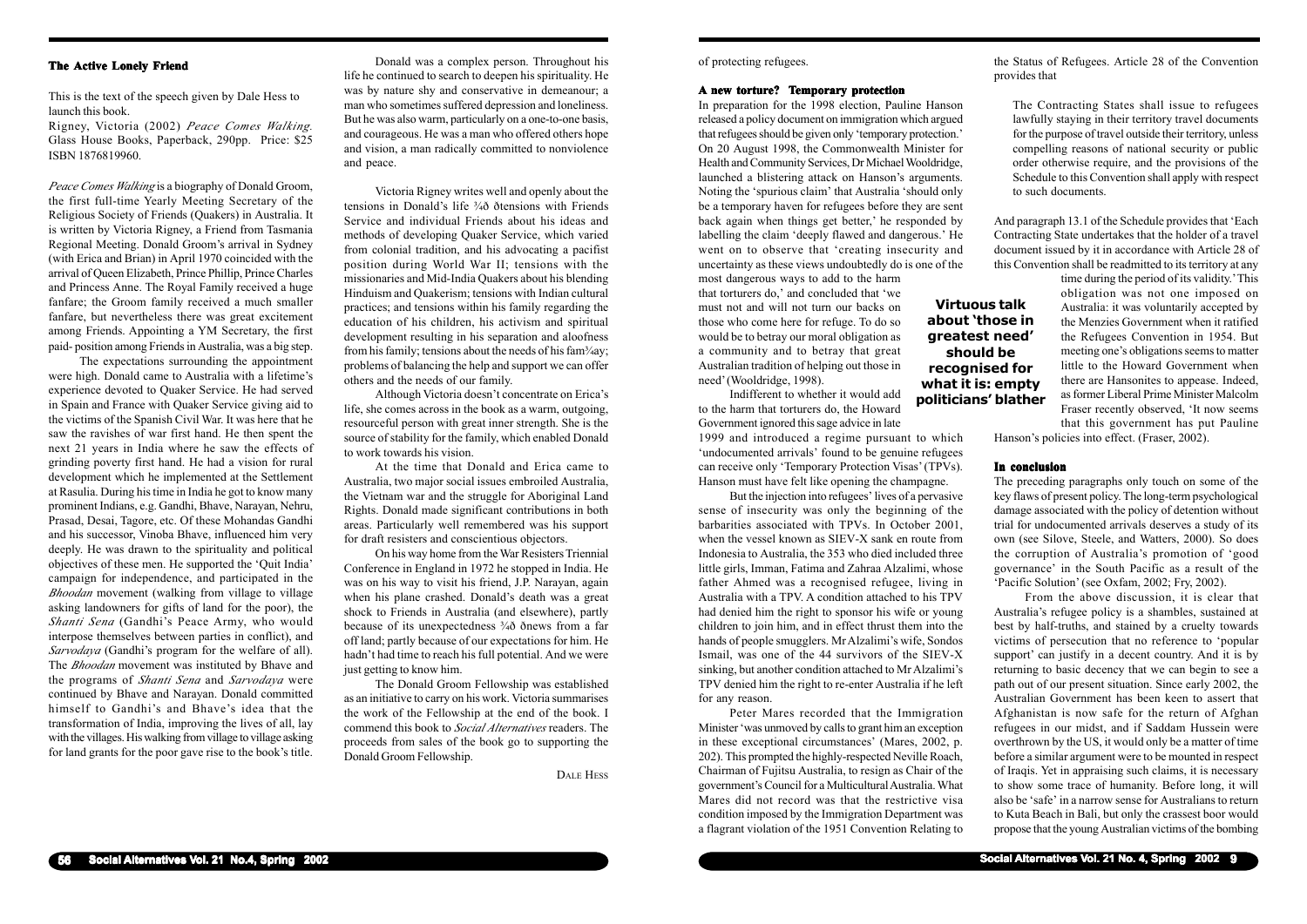of protecting refugees.

# **A new torture? Temporary protection**

In preparation for the 1998 election, Pauline Hanson released a policy document on immigration which argued that refugees should be given only 'temporary protection.' On 20 August 1998, the Commonwealth Minister for Health and Community Services, Dr Michael Wooldridge, launched a blistering attack on Hanson's arguments. Noting the 'spurious claim' that Australia 'should only be a temporary haven for refugees before they are sent back again when things get better,' he responded by labelling the claim 'deeply flawed and dangerous.' He went on to observe that 'creating insecurity and uncertainty as these views undoubtedly do is one of the most dangerous ways to add to the harm

that torturers do,' and concluded that 'we must not and will not turn our backs on those who come here for refuge. To do so would be to betray our moral obligation as a community and to betray that great Australian tradition of helping out those in need' (Wooldridge, 1998).

Indifferent to whether it would add to the harm that torturers do, the Howard Government ignored this sage advice in late

1999 and introduced a regime pursuant to which 'undocumented arrivals' found to be genuine refugees can receive only 'Temporary Protection Visas' (TPVs). Hanson must have felt like opening the champagne.

But the injection into refugees' lives of a pervasive sense of insecurity was only the beginning of the barbarities associated with TPVs. In October 2001, when the vessel known as SIEV-X sank en route from Indonesia to Australia, the 353 who died included three little girls, Imman, Fatima and Zahraa Alzalimi, whose father Ahmed was a recognised refugee, living in Australia with a TPV. A condition attached to his TPV had denied him the right to sponsor his wife or young children to join him, and in effect thrust them into the hands of people smugglers. Mr Alzalimi's wife, Sondos Ismail, was one of the 44 survivors of the SIEV-X sinking, but another condition attached to Mr Alzalimi's TPV denied him the right to re-enter Australia if he left for any reason.

Peter Mares recorded that the Immigration Minister 'was unmoved by calls to grant him an exception in these exceptional circumstances' (Mares, 2002, p. 202). This prompted the highly-respected Neville Roach, Chairman of Fujitsu Australia, to resign as Chair of the government's Council for a Multicultural Australia. What Mares did not record was that the restrictive visa condition imposed by the Immigration Department was a flagrant violation of the 1951 Convention Relating to the Status of Refugees. Article 28 of the Convention provides that

The Contracting States shall issue to refugees lawfully staying in their territory travel documents for the purpose of travel outside their territory, unless compelling reasons of national security or public order otherwise require, and the provisions of the Schedule to this Convention shall apply with respect to such documents.

And paragraph 13.1 of the Schedule provides that 'Each Contracting State undertakes that the holder of a travel document issued by it in accordance with Article 28 of this Convention shall be readmitted to its territory at any

> time during the period of its validity.' This obligation was not one imposed on Australia: it was voluntarily accepted by the Menzies Government when it ratified the Refugees Convention in 1954. But meeting one's obligations seems to matter little to the Howard Government when there are Hansonites to appease. Indeed, as former Liberal Prime Minister Malcolm Fraser recently observed, 'It now seems that this government has put Pauline

Hanson's policies into effect. (Fraser, 2002).

## **In conclusion**

The preceding paragraphs only touch on some of the key flaws of present policy. The long-term psychological damage associated with the policy of detention without trial for undocumented arrivals deserves a study of its own (see Silove, Steele, and Watters, 2000). So does the corruption of Australia's promotion of 'good governance' in the South Pacific as a result of the 'Pacific Solution' (see Oxfam, 2002; Fry, 2002).

From the above discussion, it is clear that Australia's refugee policy is a shambles, sustained at best by half-truths, and stained by a cruelty towards victims of persecution that no reference to 'popular support' can justify in a decent country. And it is by returning to basic decency that we can begin to see a path out of our present situation. Since early 2002, the Australian Government has been keen to assert that Afghanistan is now safe for the return of Afghan refugees in our midst, and if Saddam Hussein were overthrown by the US, it would only be a matter of time before a similar argument were to be mounted in respect of Iraqis. Yet in appraising such claims, it is necessary to show some trace of humanity. Before long, it will also be 'safe' in a narrow sense for Australians to return to Kuta Beach in Bali, but only the crassest boor would propose that the young Australian victims of the bombing

**Virtuous talk**

**about 'those in greatest need' should be recognised for what it is: empty politicians' blather**

# **The Active Lonely Friend**

This is the text of the speech given by Dale Hess to launch this book.

Rigney, Victoria (2002) *Peace Comes Walking.* Glass House Books, Paperback, 290pp. Price: \$25 ISBN 1876819960.

*Peace Comes Walking* is a biography of Donald Groom, the first full-time Yearly Meeting Secretary of the Religious Society of Friends (Quakers) in Australia. It is written by Victoria Rigney, a Friend from Tasmania Regional Meeting. Donald Groom's arrival in Sydney (with Erica and Brian) in April 1970 coincided with the arrival of Queen Elizabeth, Prince Phillip, Prince Charles and Princess Anne. The Royal Family received a huge fanfare; the Groom family received a much smaller fanfare, but nevertheless there was great excitement among Friends. Appointing a YM Secretary, the first paid- position among Friends in Australia, was a big step.

The expectations surrounding the appointment were high. Donald came to Australia with a lifetime's experience devoted to Quaker Service. He had served in Spain and France with Quaker Service giving aid to the victims of the Spanish Civil War. It was here that he saw the ravishes of war first hand. He then spent the next 21 years in India where he saw the effects of grinding poverty first hand. He had a vision for rural development which he implemented at the Settlement at Rasulia. During his time in India he got to know many prominent Indians, e.g. Gandhi, Bhave, Narayan, Nehru, Prasad, Desai, Tagore, etc. Of these Mohandas Gandhi and his successor, Vinoba Bhave, influenced him very deeply. He was drawn to the spirituality and political objectives of these men. He supported the 'Quit India' campaign for independence, and participated in the *Bhoodan* movement (walking from village to village asking landowners for gifts of land for the poor), the *Shanti Sena* (Gandhi's Peace Army, who would interpose themselves between parties in conflict), and *Sarvodaya* (Gandhi's program for the welfare of all). The *Bhoodan* movement was instituted by Bhave and the programs of *Shanti Sena* and *Sarvodaya* were continued by Bhave and Narayan. Donald committed himself to Gandhi's and Bhave's idea that the transformation of India, improving the lives of all, lay with the villages. His walking from village to village asking for land grants for the poor gave rise to the book's title.

Donald was a complex person. Throughout his life he continued to search to deepen his spirituality. He was by nature shy and conservative in demeanour; a man who sometimes suffered depression and loneliness. But he was also warm, particularly on a one-to-one basis, and courageous. He was a man who offered others hope and vision, a man radically committed to nonviolence and peace.

Victoria Rigney writes well and openly about the tensions in Donald's life ¾ð ðtensions with Friends Service and individual Friends about his ideas and methods of developing Quaker Service, which varied from colonial tradition, and his advocating a pacifist position during World War II; tensions with the missionaries and Mid-India Quakers about his blending Hinduism and Quakerism; tensions with Indian cultural practices; and tensions within his family regarding the education of his children, his activism and spiritual development resulting in his separation and aloofness from his family; tensions about the needs of his fam $\frac{3}{4}$ ay; problems of balancing the help and support we can offer others and the needs of our family.

Although Victoria doesn't concentrate on Erica's life, she comes across in the book as a warm, outgoing, resourceful person with great inner strength. She is the source of stability for the family, which enabled Donald to work towards his vision.

At the time that Donald and Erica came to Australia, two major social issues embroiled Australia, the Vietnam war and the struggle for Aboriginal Land Rights. Donald made significant contributions in both areas. Particularly well remembered was his support for draft resisters and conscientious objectors.

On his way home from the War Resisters Triennial Conference in England in 1972 he stopped in India. He was on his way to visit his friend, J.P. Narayan, again when his plane crashed. Donald's death was a great shock to Friends in Australia (and elsewhere), partly because of its unexpectedness ¾ð ðnews from a far off land; partly because of our expectations for him. He hadn't had time to reach his full potential. And we were just getting to know him.

The Donald Groom Fellowship was established as an initiative to carry on his work. Victoria summarises the work of the Fellowship at the end of the book. I commend this book to *Social Alternatives* readers. The proceeds from sales of the book go to supporting the Donald Groom Fellowship.

DALE HESS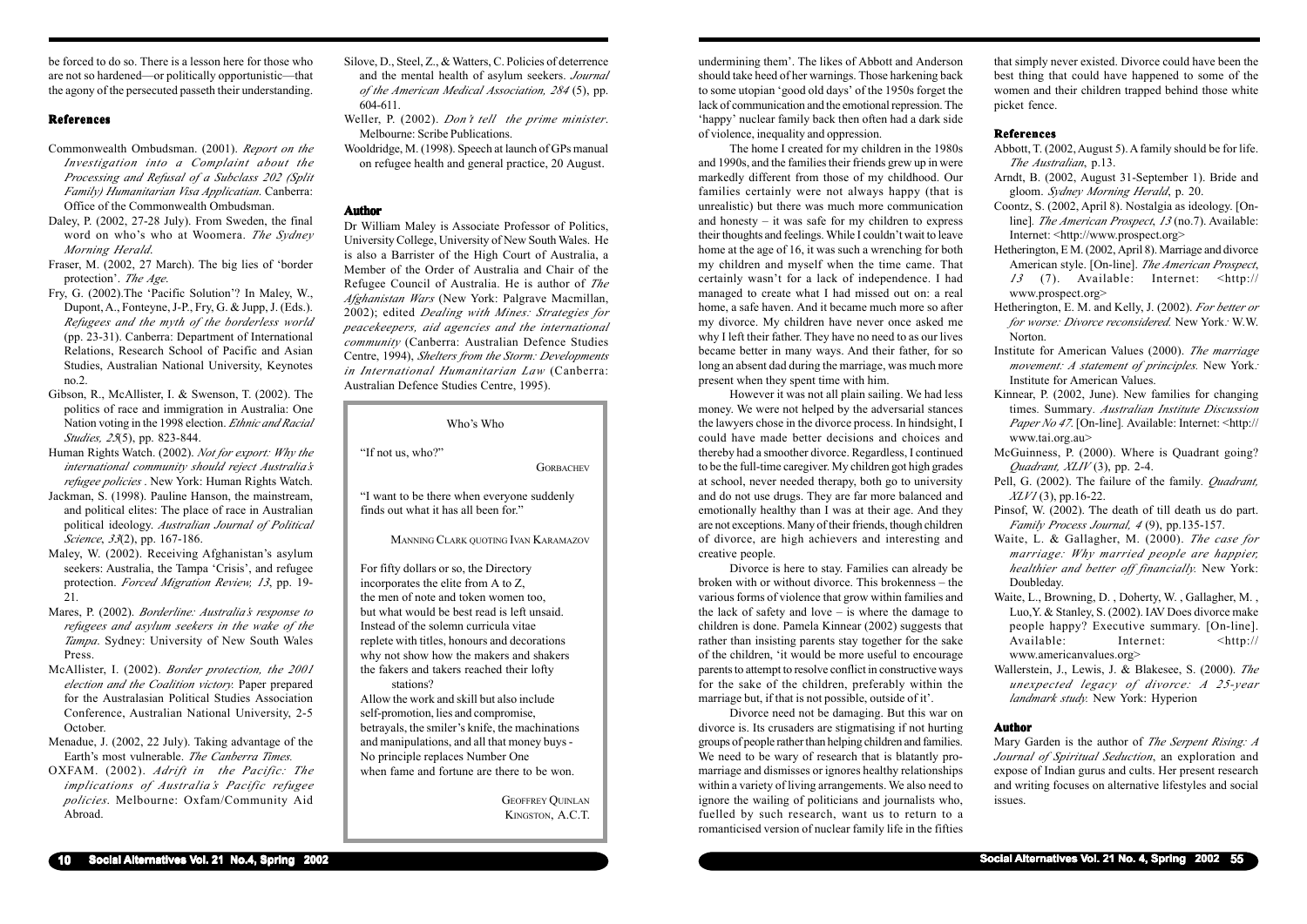be forced to do so. There is a lesson here for those who are not so hardened—or politically opportunistic—that the agony of the persecuted passeth their understanding.

# **References**

- Commonwealth Ombudsman. (2001). *Report on the Investigation into a Complaint about the Processing and Refusal of a Subclass 202 (Split Family) Humanitarian Visa Applicatian*. Canberra: Office of the Commonwealth Ombudsman.
- Daley, P. (2002, 27-28 July). From Sweden, the final word on who's who at Woomera. *The Sydney Morning Herald*.
- Fraser, M. (2002, 27 March). The big lies of 'border protection'. *The Age*.
- Fry, G. (2002).The 'Pacific Solution'? In Maley, W., Dupont, A., Fonteyne, J-P., Fry, G. & Jupp, J. (Eds.). *Refugees and the myth of the borderless world* (pp. 23-31). Canberra: Department of International Relations, Research School of Pacific and Asian Studies, Australian National University, Keynotes no.2.
- Gibson, R., McAllister, I. & Swenson, T. (2002). The politics of race and immigration in Australia: One Nation voting in the 1998 election. *Ethnic and Racial Studies, 25*(5), pp. 823-844.
- Human Rights Watch. (2002). *Not for export: Why the international community should reject Australia's refugee policies* . New York: Human Rights Watch.
- Jackman, S. (1998). Pauline Hanson, the mainstream, and political elites: The place of race in Australian political ideology. *Australian Journal of Political Science*, *33*(2), pp. 167-186.
- Maley, W. (2002). Receiving Afghanistan's asylum seekers: Australia, the Tampa 'Crisis', and refugee protection. *Forced Migration Review, 13*, pp. 19- 21.
- Mares, P. (2002). *Borderline: Australia's response to refugees and asylum seekers in the wake of the Tampa*. Sydney: University of New South Wales Press.
- McAllister, I. (2002). *Border protection, the 2001 election and the Coalition victory.* Paper prepared for the Australasian Political Studies Association Conference, Australian National University, 2-5 October.
- Menadue, J. (2002, 22 July). Taking advantage of the Earth's most vulnerable. *The Canberra Times.*
- OXFAM. (2002). *Adrift in the Pacific: The implications of Australia's Pacific refugee policies*. Melbourne: Oxfam/Community Aid Abroad.
- Silove, D., Steel, Z., & Watters, C. Policies of deterrence and the mental health of asylum seekers. *Journal of the American Medical Association, 284* (5), pp. 604-611.
- Weller, P. (2002). *Don't tell the prime minister*. Melbourne: Scribe Publications.
- Wooldridge, M. (1998). Speech at launch of GPs manual on refugee health and general practice, 20 August.

## **Author**

Dr William Maley is Associate Professor of Politics, University College, University of New South Wales. He is also a Barrister of the High Court of Australia, a Member of the Order of Australia and Chair of the Refugee Council of Australia. He is author of *The Afghanistan Wars* (New York: Palgrave Macmillan, 2002); edited *Dealing with Mines: Strategies for peacekeepers, aid agencies and the international community* (Canberra: Australian Defence Studies Centre, 1994), *Shelters from the Storm: Developments in International Humanitarian Law* (Canberra: Australian Defence Studies Centre, 1995).

Who's Who

"If not us, who?"

**GORBACHEV** 

"I want to be there when everyone suddenly finds out what it has all been for."

MANNING CLARK QUOTING IVAN KARAMAZOV

For fifty dollars or so, the Directory incorporates the elite from A to Z, the men of note and token women too, but what would be best read is left unsaid. Instead of the solemn curricula vitae replete with titles, honours and decorations why not show how the makers and shakers the fakers and takers reached their lofty stations?

Allow the work and skill but also include self-promotion, lies and compromise, betrayals, the smiler's knife, the machinations and manipulations, and all that money buys - No principle replaces Number One when fame and fortune are there to be won.

> GEOFFREY QUINLAN KINGSTON, A.C.T.

undermining them'. The likes of Abbott and Anderson should take heed of her warnings. Those harkening back to some utopian 'good old days' of the 1950s forget the lack of communication and the emotional repression. The 'happy' nuclear family back then often had a dark side of violence, inequality and oppression.

The home I created for my children in the 1980s and 1990s, and the families their friends grew up in were markedly different from those of my childhood. Our families certainly were not always happy (that is unrealistic) but there was much more communication and honesty  $-$  it was safe for my children to express their thoughts and feelings. While I couldn't wait to leave home at the age of 16, it was such a wrenching for both my children and myself when the time came. That certainly wasn't for a lack of independence. I had managed to create what I had missed out on: a real home, a safe haven. And it became much more so after my divorce. My children have never once asked me why I left their father. They have no need to as our lives became better in many ways. And their father, for so long an absent dad during the marriage, was much more present when they spent time with him.

However it was not all plain sailing. We had less money. We were not helped by the adversarial stances the lawyers chose in the divorce process. In hindsight, I could have made better decisions and choices and thereby had a smoother divorce. Regardless, I continued to be the full-time caregiver. My children got high grades at school, never needed therapy, both go to university and do not use drugs. They are far more balanced and emotionally healthy than I was at their age. And they are not exceptions. Many of their friends, though children of divorce, are high achievers and interesting and creative people.

Divorce is here to stay. Families can already be broken with or without divorce. This brokenness – the various forms of violence that grow within families and the lack of safety and love – is where the damage to children is done. Pamela Kinnear (2002) suggests that rather than insisting parents stay together for the sake of the children, 'it would be more useful to encourage parents to attempt to resolve conflict in constructive ways for the sake of the children, preferably within the marriage but, if that is not possible, outside of it'.

Divorce need not be damaging. But this war on divorce is. Its crusaders are stigmatising if not hurting groups of people rather than helping children and families. We need to be wary of research that is blatantly promarriage and dismisses or ignores healthy relationships within a variety of living arrangements. We also need to ignore the wailing of politicians and journalists who, fuelled by such research, want us to return to a romanticised version of nuclear family life in the fifties that simply never existed. Divorce could have been the best thing that could have happened to some of the women and their children trapped behind those white picket fence.

#### **References**

- Abbott, T. (2002, August 5). A family should be for life. *The Australian*, p.13.
- Arndt, B. (2002, August 31-September 1). Bride and gloom. *Sydney Morning Herald*, p. 20.
- Coontz, S. (2002, April 8). Nostalgia as ideology. [Online]*. The American Prospect*, *13* (no.7). Available: Internet: <http://www.prospect.org>
- Hetherington, E M. (2002, April 8). Marriage and divorce American style. [On-line]. *The American Prospect*, *13* (7). Available: Internet: <http:// www.prospect.org>
- Hetherington, E. M. and Kelly, J. (2002). *For better or for worse: Divorce reconsidered.* New York*:* W.W. Norton.
- Institute for American Values (2000). *The marriage movement: A statement of principles.* New York*:* Institute for American Values.
- Kinnear, P. (2002, June). New families for changing times*.* Summary*. Australian Institute Discussion Paper No 47*. [On-line]*.* Available: Internet: <http:// www.tai.org.au>
- McGuinness, P. (2000). Where is Quadrant going? *Quadrant, XLIV* (3), pp. 2-4.
- Pell, G. (2002). The failure of the family*. Quadrant, XLV1* (3), pp.16-22.
- Pinsof, W. (2002).*'*The death of till death us do part. *Family Process Journal, 4* (9), pp.135-157.
- Waite, L. & Gallagher, M. (2000). *The case for marriage: Why married people are happier, healthier and better off financially.* New York: Doubleday.
- Waite, L., Browning, D. , Doherty, W. , Gallagher, M. , Luo,Y. & Stanley, S. (2002). IAV Does divorce make people happy? Executive summary. [On-line]. Available: Internet: <http:// www.americanvalues.org>
- Wallerstein, J., Lewis, J. & Blakesee, S. (2000). *The unexpected legacy of divorce: A 25-year landmark study.* New York: Hyperion

## **Author**

Mary Garden is the author of *The Serpent Rising: A Journal of Spiritual Seduction*, an exploration and expose of Indian gurus and cults. Her present research and writing focuses on alternative lifestyles and social issues.